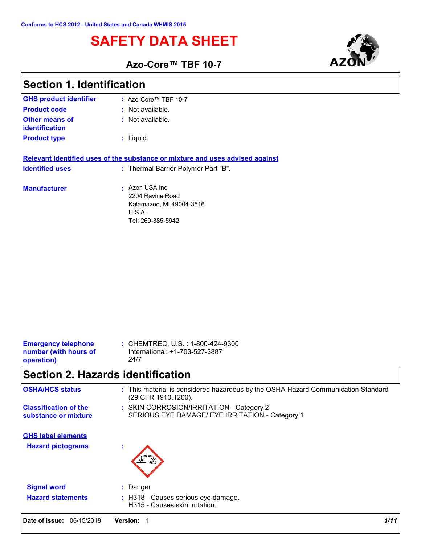# **SAFETY DATA SHEET**



٦

**Azo-Core™ TBF 10-7**

| <b>Section 1. Identification</b>                                  |                                                                                                          |  |  |
|-------------------------------------------------------------------|----------------------------------------------------------------------------------------------------------|--|--|
| <b>GHS product identifier</b>                                     | : Azo-Core™ TBF 10-7                                                                                     |  |  |
| <b>Product code</b>                                               | : Not available.                                                                                         |  |  |
| <b>Other means of</b><br>identification                           | : Not available.                                                                                         |  |  |
| <b>Product type</b>                                               | : Liquid.                                                                                                |  |  |
|                                                                   | Relevant identified uses of the substance or mixture and uses advised against                            |  |  |
| <b>Identified uses</b>                                            | : Thermal Barrier Polymer Part "B".                                                                      |  |  |
| <b>Manufacturer</b>                                               | Azon USA Inc.<br>2204 Ravine Road<br>Kalamazoo, MI 49004-3516<br>U.S.A.<br>Tel: 269-385-5942             |  |  |
|                                                                   |                                                                                                          |  |  |
| <b>Emergency telephone</b><br>number (with hours of<br>operation) | : CHEMTREC, U.S. : 1-800-424-9300<br>International: +1-703-527-3887<br>24/7                              |  |  |
| <b>Section 2. Hazards identification</b>                          |                                                                                                          |  |  |
| <b>OSHA/HCS status</b>                                            | : This material is considered hazardous by the OSHA Hazard Communication Standard<br>(29 CFR 1910.1200). |  |  |
| <b>Classification of the</b><br>substance or mixture              | : SKIN CORROSION/IRRITATION - Category 2<br>SERIOUS EYE DAMAGE/ EYE IRRITATION - Category 1              |  |  |
| <b>GHS label elements</b><br><b>Hazard pictograms</b>             |                                                                                                          |  |  |
| <b>Signal word</b>                                                | : Danger                                                                                                 |  |  |
| <b>Hazard statements</b>                                          | : H318 - Causes serious eye damage.<br>H315 - Causes skin irritation.                                    |  |  |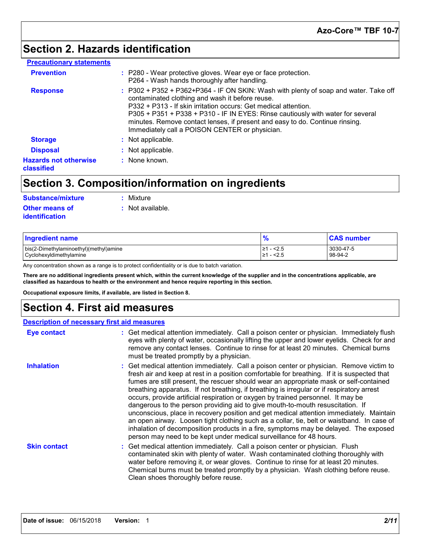# **Section 2. Hazards identification**

#### **Precautionary statements**

| <b>Prevention</b>                          | : P280 - Wear protective gloves. Wear eye or face protection.<br>P264 - Wash hands thoroughly after handling.                                                                                                                                                                                                                                                                                                                   |
|--------------------------------------------|---------------------------------------------------------------------------------------------------------------------------------------------------------------------------------------------------------------------------------------------------------------------------------------------------------------------------------------------------------------------------------------------------------------------------------|
| <b>Response</b>                            | : P302 + P352 + P362+P364 - IF ON SKIN: Wash with plenty of soap and water. Take off<br>contaminated clothing and wash it before reuse.<br>P332 + P313 - If skin irritation occurs: Get medical attention.<br>P305 + P351 + P338 + P310 - IF IN EYES: Rinse cautiously with water for several<br>minutes. Remove contact lenses, if present and easy to do. Continue rinsing.<br>Immediately call a POISON CENTER or physician. |
| <b>Storage</b>                             | : Not applicable.                                                                                                                                                                                                                                                                                                                                                                                                               |
| <b>Disposal</b>                            | : Not applicable.                                                                                                                                                                                                                                                                                                                                                                                                               |
| <b>Hazards not otherwise</b><br>classified | : None known.                                                                                                                                                                                                                                                                                                                                                                                                                   |

# **Section 3. Composition/information on ingredients**

| Substance/mixture                       | : Mixture        |
|-----------------------------------------|------------------|
| Other means of<br><b>identification</b> | : Not available. |

| <b>Ingredient name</b>                                            | $\bullet$                     | <b>CAS number</b>    |
|-------------------------------------------------------------------|-------------------------------|----------------------|
| bis(2-Dimethylaminoethyl)(methyl)amine<br>Cyclohexyldimethylamine | $-<$ 2.5<br>'≥1<br>2.5<br>1≥ا | 3030-47-5<br>98-94-2 |

Any concentration shown as a range is to protect confidentiality or is due to batch variation.

**There are no additional ingredients present which, within the current knowledge of the supplier and in the concentrations applicable, are classified as hazardous to health or the environment and hence require reporting in this section.**

**Occupational exposure limits, if available, are listed in Section 8.**

### **Section 4. First aid measures**

### **Description of necessary first aid measures**

| <b>Eye contact</b>  | : Get medical attention immediately. Call a poison center or physician. Immediately flush<br>eyes with plenty of water, occasionally lifting the upper and lower eyelids. Check for and<br>remove any contact lenses. Continue to rinse for at least 20 minutes. Chemical burns<br>must be treated promptly by a physician.                                                                                                                                                                                                                                                                                                                                                                                                                                                                                                                                                                                  |
|---------------------|--------------------------------------------------------------------------------------------------------------------------------------------------------------------------------------------------------------------------------------------------------------------------------------------------------------------------------------------------------------------------------------------------------------------------------------------------------------------------------------------------------------------------------------------------------------------------------------------------------------------------------------------------------------------------------------------------------------------------------------------------------------------------------------------------------------------------------------------------------------------------------------------------------------|
| <b>Inhalation</b>   | : Get medical attention immediately. Call a poison center or physician. Remove victim to<br>fresh air and keep at rest in a position comfortable for breathing. If it is suspected that<br>fumes are still present, the rescuer should wear an appropriate mask or self-contained<br>breathing apparatus. If not breathing, if breathing is irregular or if respiratory arrest<br>occurs, provide artificial respiration or oxygen by trained personnel. It may be<br>dangerous to the person providing aid to give mouth-to-mouth resuscitation. If<br>unconscious, place in recovery position and get medical attention immediately. Maintain<br>an open airway. Loosen tight clothing such as a collar, tie, belt or waistband. In case of<br>inhalation of decomposition products in a fire, symptoms may be delayed. The exposed<br>person may need to be kept under medical surveillance for 48 hours. |
| <b>Skin contact</b> | : Get medical attention immediately. Call a poison center or physician. Flush<br>contaminated skin with plenty of water. Wash contaminated clothing thoroughly with<br>water before removing it, or wear gloves. Continue to rinse for at least 20 minutes.<br>Chemical burns must be treated promptly by a physician. Wash clothing before reuse.<br>Clean shoes thoroughly before reuse.                                                                                                                                                                                                                                                                                                                                                                                                                                                                                                                   |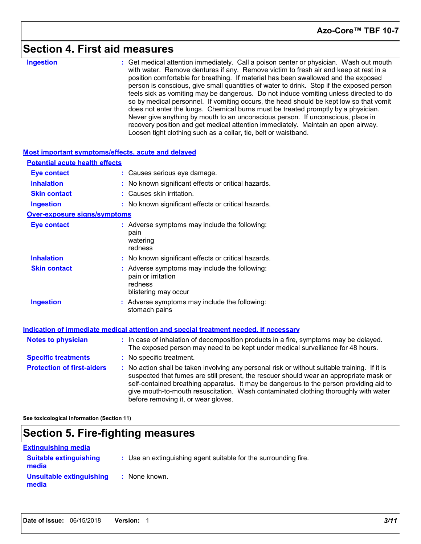### **Section 4. First aid measures**

**Ingestion :**

Get medical attention immediately. Call a poison center or physician. Wash out mouth with water. Remove dentures if any. Remove victim to fresh air and keep at rest in a position comfortable for breathing. If material has been swallowed and the exposed person is conscious, give small quantities of water to drink. Stop if the exposed person feels sick as vomiting may be dangerous. Do not induce vomiting unless directed to do so by medical personnel. If vomiting occurs, the head should be kept low so that vomit does not enter the lungs. Chemical burns must be treated promptly by a physician. Never give anything by mouth to an unconscious person. If unconscious, place in recovery position and get medical attention immediately. Maintain an open airway. Loosen tight clothing such as a collar, tie, belt or waistband.

| <b>Most important symptoms/effects, acute and delayed</b> |                                                                                                                                                                                                                                                                                                                                                                                                                 |
|-----------------------------------------------------------|-----------------------------------------------------------------------------------------------------------------------------------------------------------------------------------------------------------------------------------------------------------------------------------------------------------------------------------------------------------------------------------------------------------------|
| <b>Potential acute health effects</b>                     |                                                                                                                                                                                                                                                                                                                                                                                                                 |
| <b>Eye contact</b>                                        | : Causes serious eye damage.                                                                                                                                                                                                                                                                                                                                                                                    |
| <b>Inhalation</b>                                         | : No known significant effects or critical hazards.                                                                                                                                                                                                                                                                                                                                                             |
| <b>Skin contact</b>                                       | : Causes skin irritation.                                                                                                                                                                                                                                                                                                                                                                                       |
| <b>Ingestion</b>                                          | : No known significant effects or critical hazards.                                                                                                                                                                                                                                                                                                                                                             |
| <b>Over-exposure signs/symptoms</b>                       |                                                                                                                                                                                                                                                                                                                                                                                                                 |
| <b>Eye contact</b>                                        | : Adverse symptoms may include the following:<br>pain<br>watering<br>redness                                                                                                                                                                                                                                                                                                                                    |
| <b>Inhalation</b>                                         | : No known significant effects or critical hazards.                                                                                                                                                                                                                                                                                                                                                             |
| <b>Skin contact</b>                                       | : Adverse symptoms may include the following:<br>pain or irritation<br>redness<br>blistering may occur                                                                                                                                                                                                                                                                                                          |
| <b>Ingestion</b>                                          | : Adverse symptoms may include the following:<br>stomach pains                                                                                                                                                                                                                                                                                                                                                  |
|                                                           | Indication of immediate medical attention and special treatment needed, if necessary                                                                                                                                                                                                                                                                                                                            |
| <b>Notes to physician</b>                                 | : In case of inhalation of decomposition products in a fire, symptoms may be delayed.<br>The exposed person may need to be kept under medical surveillance for 48 hours.                                                                                                                                                                                                                                        |
| <b>Specific treatments</b>                                | : No specific treatment.                                                                                                                                                                                                                                                                                                                                                                                        |
| <b>Protection of first-aiders</b>                         | : No action shall be taken involving any personal risk or without suitable training. If it is<br>suspected that fumes are still present, the rescuer should wear an appropriate mask or<br>self-contained breathing apparatus. It may be dangerous to the person providing aid to<br>give mouth-to-mouth resuscitation. Wash contaminated clothing thoroughly with water<br>before removing it, or wear gloves. |

**See toxicological information (Section 11)**

### **Section 5. Fire-fighting measures**

### **Extinguishing media**

| <b>Suitable extinguishing</b><br>media | : Use an extinguishing agent suitable for the surrounding fire. |
|----------------------------------------|-----------------------------------------------------------------|
| Unsuitable extinguishing<br>media      | : None known.                                                   |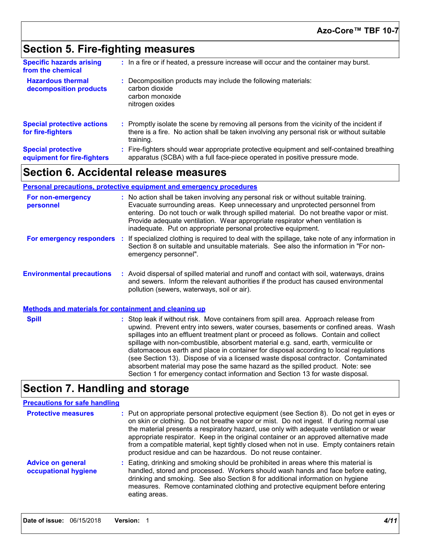# **Section 5. Fire-fighting measures**

| <b>Specific hazards arising</b><br>from the chemical     | : In a fire or if heated, a pressure increase will occur and the container may burst.                                                                                                               |
|----------------------------------------------------------|-----------------------------------------------------------------------------------------------------------------------------------------------------------------------------------------------------|
| <b>Hazardous thermal</b><br>decomposition products       | Decomposition products may include the following materials:<br>carbon dioxide<br>carbon monoxide<br>nitrogen oxides                                                                                 |
| <b>Special protective actions</b><br>for fire-fighters   | : Promptly isolate the scene by removing all persons from the vicinity of the incident if<br>there is a fire. No action shall be taken involving any personal risk or without suitable<br>training. |
| <b>Special protective</b><br>equipment for fire-fighters | : Fire-fighters should wear appropriate protective equipment and self-contained breathing<br>apparatus (SCBA) with a full face-piece operated in positive pressure mode.                            |

## **Section 6. Accidental release measures**

#### **Personal precautions, protective equipment and emergency procedures**

| For non-emergency<br>personnel                               | : No action shall be taken involving any personal risk or without suitable training.<br>Evacuate surrounding areas. Keep unnecessary and unprotected personnel from<br>entering. Do not touch or walk through spilled material. Do not breathe vapor or mist.<br>Provide adequate ventilation. Wear appropriate respirator when ventilation is<br>inadequate. Put on appropriate personal protective equipment.                                                                                                                                                                                                                                                                                              |  |
|--------------------------------------------------------------|--------------------------------------------------------------------------------------------------------------------------------------------------------------------------------------------------------------------------------------------------------------------------------------------------------------------------------------------------------------------------------------------------------------------------------------------------------------------------------------------------------------------------------------------------------------------------------------------------------------------------------------------------------------------------------------------------------------|--|
| For emergency responders                                     | : If specialized clothing is required to deal with the spillage, take note of any information in<br>Section 8 on suitable and unsuitable materials. See also the information in "For non-<br>emergency personnel".                                                                                                                                                                                                                                                                                                                                                                                                                                                                                           |  |
| <b>Environmental precautions</b>                             | : Avoid dispersal of spilled material and runoff and contact with soil, waterways, drains<br>and sewers. Inform the relevant authorities if the product has caused environmental<br>pollution (sewers, waterways, soil or air).                                                                                                                                                                                                                                                                                                                                                                                                                                                                              |  |
| <b>Methods and materials for containment and cleaning up</b> |                                                                                                                                                                                                                                                                                                                                                                                                                                                                                                                                                                                                                                                                                                              |  |
| <b>Spill</b>                                                 | : Stop leak if without risk. Move containers from spill area. Approach release from<br>upwind. Prevent entry into sewers, water courses, basements or confined areas. Wash<br>spillages into an effluent treatment plant or proceed as follows. Contain and collect<br>spillage with non-combustible, absorbent material e.g. sand, earth, vermiculite or<br>diatomaceous earth and place in container for disposal according to local regulations<br>(see Section 13). Dispose of via a licensed waste disposal contractor. Contaminated<br>absorbent material may pose the same hazard as the spilled product. Note: see<br>Section 1 for emergency contact information and Section 13 for waste disposal. |  |

# **Section 7. Handling and storage**

#### **Precautions for safe handling**

| <b>Protective measures</b>                       | : Put on appropriate personal protective equipment (see Section 8). Do not get in eyes or<br>on skin or clothing. Do not breathe vapor or mist. Do not ingest. If during normal use<br>the material presents a respiratory hazard, use only with adequate ventilation or wear<br>appropriate respirator. Keep in the original container or an approved alternative made<br>from a compatible material, kept tightly closed when not in use. Empty containers retain<br>product residue and can be hazardous. Do not reuse container. |
|--------------------------------------------------|--------------------------------------------------------------------------------------------------------------------------------------------------------------------------------------------------------------------------------------------------------------------------------------------------------------------------------------------------------------------------------------------------------------------------------------------------------------------------------------------------------------------------------------|
| <b>Advice on general</b><br>occupational hygiene | : Eating, drinking and smoking should be prohibited in areas where this material is<br>handled, stored and processed. Workers should wash hands and face before eating,<br>drinking and smoking. See also Section 8 for additional information on hygiene<br>measures. Remove contaminated clothing and protective equipment before entering<br>eating areas.                                                                                                                                                                        |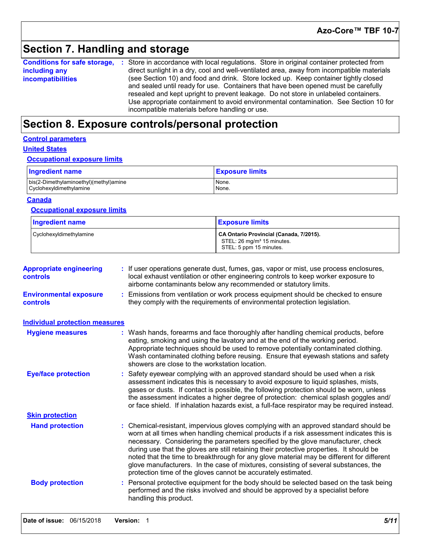# **Section 7. Handling and storage**

**Conditions for safe storage,** : Store in accordance with local regulations. Store in original container protected from **including any incompatibilities** direct sunlight in a dry, cool and well-ventilated area, away from incompatible materials (see Section 10) and food and drink. Store locked up. Keep container tightly closed and sealed until ready for use. Containers that have been opened must be carefully resealed and kept upright to prevent leakage. Do not store in unlabeled containers. Use appropriate containment to avoid environmental contamination. See Section 10 for incompatible materials before handling or use.

### **Section 8. Exposure controls/personal protection**

#### **Control parameters**

#### **United States**

#### **Occupational exposure limits**

| <b>Ingredient name</b>                 | <b>Exposure limits</b> |
|----------------------------------------|------------------------|
| bis(2-Dimethylaminoethyl)(methyl)amine | None.                  |
| Cyclohexyldimethylamine                | None.                  |

#### **Canada**

#### **Occupational exposure limits**

| <b>Ingredient name</b>  | <b>Exposure limits</b>                                                                                       |
|-------------------------|--------------------------------------------------------------------------------------------------------------|
| Cyclohexyldimethylamine | CA Ontario Provincial (Canada, 7/2015).<br>STEL: 26 mg/m <sup>3</sup> 15 minutes.<br>STEL: 5 ppm 15 minutes. |

| <b>Appropriate engineering</b><br><b>controls</b> | If user operations generate dust, fumes, gas, vapor or mist, use process enclosures,<br>local exhaust ventilation or other engineering controls to keep worker exposure to<br>airborne contaminants below any recommended or statutory limits.                                                                                                                                                                                                                                                                                                                                                                         |  |  |  |
|---------------------------------------------------|------------------------------------------------------------------------------------------------------------------------------------------------------------------------------------------------------------------------------------------------------------------------------------------------------------------------------------------------------------------------------------------------------------------------------------------------------------------------------------------------------------------------------------------------------------------------------------------------------------------------|--|--|--|
| <b>Environmental exposure</b><br>controls         | Emissions from ventilation or work process equipment should be checked to ensure<br>they comply with the requirements of environmental protection legislation.                                                                                                                                                                                                                                                                                                                                                                                                                                                         |  |  |  |
| <b>Individual protection measures</b>             |                                                                                                                                                                                                                                                                                                                                                                                                                                                                                                                                                                                                                        |  |  |  |
| <b>Hygiene measures</b>                           | : Wash hands, forearms and face thoroughly after handling chemical products, before<br>eating, smoking and using the lavatory and at the end of the working period.<br>Appropriate techniques should be used to remove potentially contaminated clothing.<br>Wash contaminated clothing before reusing. Ensure that eyewash stations and safety<br>showers are close to the workstation location.                                                                                                                                                                                                                      |  |  |  |
| <b>Eye/face protection</b>                        | Safety eyewear complying with an approved standard should be used when a risk<br>assessment indicates this is necessary to avoid exposure to liquid splashes, mists,<br>gases or dusts. If contact is possible, the following protection should be worn, unless<br>the assessment indicates a higher degree of protection: chemical splash goggles and/<br>or face shield. If inhalation hazards exist, a full-face respirator may be required instead.                                                                                                                                                                |  |  |  |
| <b>Skin protection</b>                            |                                                                                                                                                                                                                                                                                                                                                                                                                                                                                                                                                                                                                        |  |  |  |
| <b>Hand protection</b>                            | : Chemical-resistant, impervious gloves complying with an approved standard should be<br>worn at all times when handling chemical products if a risk assessment indicates this is<br>necessary. Considering the parameters specified by the glove manufacturer, check<br>during use that the gloves are still retaining their protective properties. It should be<br>noted that the time to breakthrough for any glove material may be different for different<br>glove manufacturers. In the case of mixtures, consisting of several substances, the<br>protection time of the gloves cannot be accurately estimated. |  |  |  |
| <b>Body protection</b>                            | Personal protective equipment for the body should be selected based on the task being<br>performed and the risks involved and should be approved by a specialist before<br>handling this product.                                                                                                                                                                                                                                                                                                                                                                                                                      |  |  |  |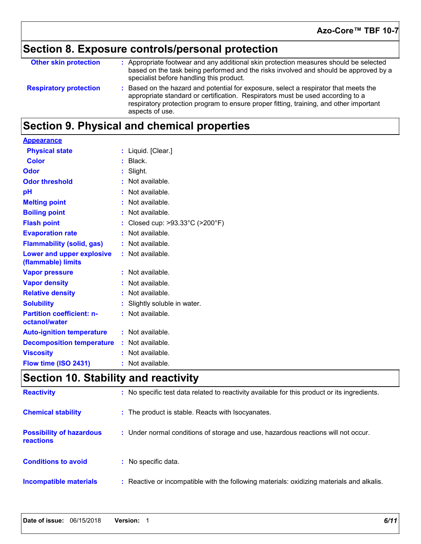# **Section 8. Exposure controls/personal protection**

| <b>Other skin protection</b>  | : Appropriate footwear and any additional skin protection measures should be selected<br>based on the task being performed and the risks involved and should be approved by a<br>specialist before handling this product.                                                           |
|-------------------------------|-------------------------------------------------------------------------------------------------------------------------------------------------------------------------------------------------------------------------------------------------------------------------------------|
| <b>Respiratory protection</b> | : Based on the hazard and potential for exposure, select a respirator that meets the<br>appropriate standard or certification. Respirators must be used according to a<br>respiratory protection program to ensure proper fitting, training, and other important<br>aspects of use. |

# **Section 9. Physical and chemical properties**

| <b>Appearance</b>                                 |                                                      |
|---------------------------------------------------|------------------------------------------------------|
| <b>Physical state</b>                             | : Liquid. [Clear.]                                   |
| <b>Color</b>                                      | : Black.                                             |
| Odor                                              | : Slight.                                            |
| <b>Odor threshold</b>                             | : Not available.                                     |
| pH                                                | : Not available.                                     |
| <b>Melting point</b>                              | : Not available.                                     |
| <b>Boiling point</b>                              | : Not available.                                     |
| <b>Flash point</b>                                | : Closed cup: $>93.33^{\circ}$ C ( $>200^{\circ}$ F) |
| <b>Evaporation rate</b>                           | : Not available.                                     |
| <b>Flammability (solid, gas)</b>                  | : Not available.                                     |
| Lower and upper explosive<br>(flammable) limits   | : Not available.                                     |
| <b>Vapor pressure</b>                             | : Not available.                                     |
| <b>Vapor density</b>                              | : Not available.                                     |
| <b>Relative density</b>                           | : Not available.                                     |
| <b>Solubility</b>                                 | : Slightly soluble in water.                         |
| <b>Partition coefficient: n-</b><br>octanol/water | : Not available.                                     |
| <b>Auto-ignition temperature</b>                  | : Not available.                                     |
| <b>Decomposition temperature</b>                  | : Not available.                                     |
| <b>Viscosity</b>                                  | : Not available.                                     |
| Flow time (ISO 2431)                              | : Not available.                                     |

# **Section 10. Stability and reactivity**

| <b>Reactivity</b>                            | : No specific test data related to reactivity available for this product or its ingredients. |
|----------------------------------------------|----------------------------------------------------------------------------------------------|
| <b>Chemical stability</b>                    | : The product is stable. Reacts with Isocyanates.                                            |
| <b>Possibility of hazardous</b><br>reactions | : Under normal conditions of storage and use, hazardous reactions will not occur.            |
| <b>Conditions to avoid</b>                   | : No specific data.                                                                          |
| Incompatible materials                       | : Reactive or incompatible with the following materials: oxidizing materials and alkalis.    |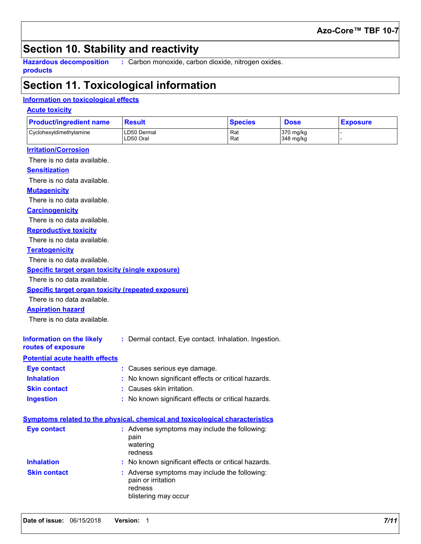### **Azo-Core™ TBF 10-7**

## **Section 10. Stability and reactivity**

**Hazardous decomposition products**

**:** Carbon monoxide, carbon dioxide, nitrogen oxides.

### **Section 11. Toxicological information**

### **Information on toxicological effects**

### **Acute toxicity**

| <b>Product/ingredient name</b> | Result                   | <b>Species</b> | <b>Dose</b>            | <b>Exposure</b> |
|--------------------------------|--------------------------|----------------|------------------------|-----------------|
| Cyclohexyldimethylamine        | LD50 Dermal<br>LD50 Oral | Rat<br>Rat     | 370 mg/kg<br>348 mg/kg |                 |

#### **Irritation/Corrosion**

There is no data available.

#### **Sensitization**

There is no data available.

#### **Mutagenicity**

There is no data available.

#### **Carcinogenicity**

There is no data available.

#### **Reproductive toxicity**

There is no data available.

#### **Teratogenicity**

There is no data available.

#### **Specific target organ toxicity (single exposure)**

There is no data available.

#### **Specific target organ toxicity (repeated exposure)**

There is no data available.

#### **Aspiration hazard**

There is no data available.

| Information on the likely | : Dermal contact. Eye contact. Inhalation. Ingestion. |  |
|---------------------------|-------------------------------------------------------|--|
| routes of exposure        |                                                       |  |

### **Potential acute health effects**

| Eye contact         | : Causes serious eye damage.                        |
|---------------------|-----------------------------------------------------|
| <b>Inhalation</b>   | : No known significant effects or critical hazards. |
| <b>Skin contact</b> | : Causes skin irritation.                           |
| <b>Ingestion</b>    | : No known significant effects or critical hazards. |

|                     | Symptoms related to the physical, chemical and toxicological characteristics                           |
|---------------------|--------------------------------------------------------------------------------------------------------|
| <b>Eye contact</b>  | : Adverse symptoms may include the following:<br>pain<br>watering<br>redness                           |
| <b>Inhalation</b>   | : No known significant effects or critical hazards.                                                    |
| <b>Skin contact</b> | : Adverse symptoms may include the following:<br>pain or irritation<br>redness<br>blistering may occur |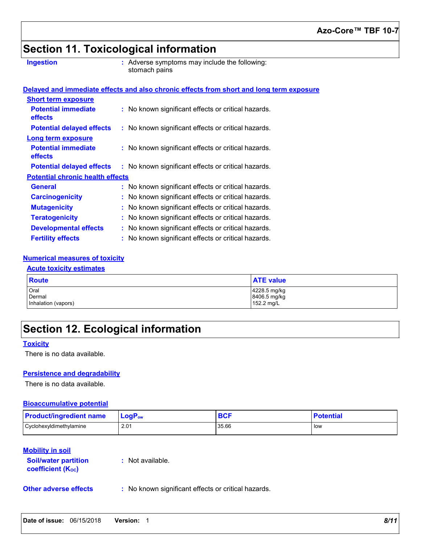# **Section 11. Toxicological information**

| <b>Ingestion</b> |  |  |  |
|------------------|--|--|--|
|                  |  |  |  |

**Ingestion Adverse symptoms may include the following:**  $\blacksquare$ stomach pains

|                                         | Delayed and immediate effects and also chronic effects from short and long term exposure |                                                     |  |  |  |
|-----------------------------------------|------------------------------------------------------------------------------------------|-----------------------------------------------------|--|--|--|
| <b>Short term exposure</b>              |                                                                                          |                                                     |  |  |  |
| <b>Potential immediate</b><br>effects   |                                                                                          | : No known significant effects or critical hazards. |  |  |  |
| <b>Potential delayed effects</b>        |                                                                                          | : No known significant effects or critical hazards. |  |  |  |
| <b>Long term exposure</b>               |                                                                                          |                                                     |  |  |  |
| <b>Potential immediate</b><br>effects   |                                                                                          | : No known significant effects or critical hazards. |  |  |  |
| <b>Potential delayed effects</b>        |                                                                                          | : No known significant effects or critical hazards. |  |  |  |
| <b>Potential chronic health effects</b> |                                                                                          |                                                     |  |  |  |
| <b>General</b>                          |                                                                                          | : No known significant effects or critical hazards. |  |  |  |
| <b>Carcinogenicity</b>                  |                                                                                          | : No known significant effects or critical hazards. |  |  |  |
| <b>Mutagenicity</b>                     |                                                                                          | : No known significant effects or critical hazards. |  |  |  |
| <b>Teratogenicity</b>                   |                                                                                          | : No known significant effects or critical hazards. |  |  |  |
| <b>Developmental effects</b>            |                                                                                          | : No known significant effects or critical hazards. |  |  |  |
| <b>Fertility effects</b>                |                                                                                          | : No known significant effects or critical hazards. |  |  |  |

### **Numerical measures of toxicity**

#### **Acute toxicity estimates**

| <b>Route</b>        | <b>ATE value</b> |
|---------------------|------------------|
| Oral                | 4228.5 mg/kg     |
| Dermal              | 8406.5 mg/kg     |
| Inhalation (vapors) | 152.2 mg/L       |

# **Section 12. Ecological information**

#### **Toxicity**

There is no data available.

#### **Persistence and degradability**

There is no data available.

#### **Bioaccumulative potential**

| <b>Product/ingredient name</b> | $\mathsf{LogP}_\mathsf{ow}$ | DVI   | <b>Potential</b> |
|--------------------------------|-----------------------------|-------|------------------|
| Cyclohexyldimethylamine        | 2.01                        | 35.66 | low              |

### **Mobility in soil**

| <b>Soil/water partition</b> |  |
|-----------------------------|--|
| <b>coefficient (Koc)</b>    |  |

**:** Not available.

**Other adverse effects** : No known significant effects or critical hazards.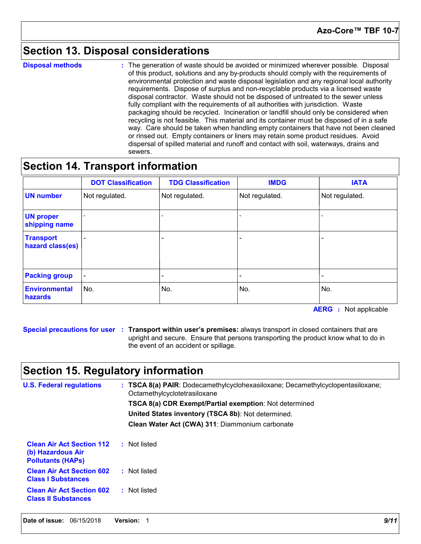### **Section 13. Disposal considerations**

**Disposal methods :**

The generation of waste should be avoided or minimized wherever possible. Disposal of this product, solutions and any by-products should comply with the requirements of environmental protection and waste disposal legislation and any regional local authority requirements. Dispose of surplus and non-recyclable products via a licensed waste disposal contractor. Waste should not be disposed of untreated to the sewer unless fully compliant with the requirements of all authorities with jurisdiction. Waste packaging should be recycled. Incineration or landfill should only be considered when recycling is not feasible. This material and its container must be disposed of in a safe way. Care should be taken when handling empty containers that have not been cleaned or rinsed out. Empty containers or liners may retain some product residues. Avoid dispersal of spilled material and runoff and contact with soil, waterways, drains and sewers.

### **Section 14. Transport information**

|                                      | <b>DOT Classification</b> | <b>TDG Classification</b> | <b>IMDG</b>    | <b>IATA</b>    |
|--------------------------------------|---------------------------|---------------------------|----------------|----------------|
| <b>UN number</b>                     | Not regulated.            | Not regulated.            | Not regulated. | Not regulated. |
| <b>UN proper</b><br>shipping name    |                           |                           |                |                |
| <b>Transport</b><br>hazard class(es) |                           |                           |                |                |
| <b>Packing group</b>                 |                           |                           |                |                |
| <b>Environmental</b><br>hazards      | No.                       | No.                       | No.            | No.            |

**AERG :** Not applicable

**Special precautions for user Transport within user's premises:** always transport in closed containers that are **:** upright and secure. Ensure that persons transporting the product know what to do in the event of an accident or spillage.

### **Section 15. Regulatory information**

| <b>U.S. Federal regulations</b>                                                   | $\pm$ TSCA 8(a) PAIR: Dodecamethylcyclohexasiloxane; Decamethylcyclopentasiloxane;<br>Octamethylcyclotetrasiloxane |
|-----------------------------------------------------------------------------------|--------------------------------------------------------------------------------------------------------------------|
|                                                                                   | <b>TSCA 8(a) CDR Exempt/Partial exemption:</b> Not determined                                                      |
|                                                                                   | United States inventory (TSCA 8b): Not determined.                                                                 |
|                                                                                   | Clean Water Act (CWA) 311: Diammonium carbonate                                                                    |
| <b>Clean Air Act Section 112</b><br>(b) Hazardous Air<br><b>Pollutants (HAPS)</b> | : Not listed                                                                                                       |
| <b>Clean Air Act Section 602</b><br><b>Class I Substances</b>                     | : Not listed                                                                                                       |
| <b>Clean Air Act Section 602</b><br><b>Class II Substances</b>                    | : Not listed                                                                                                       |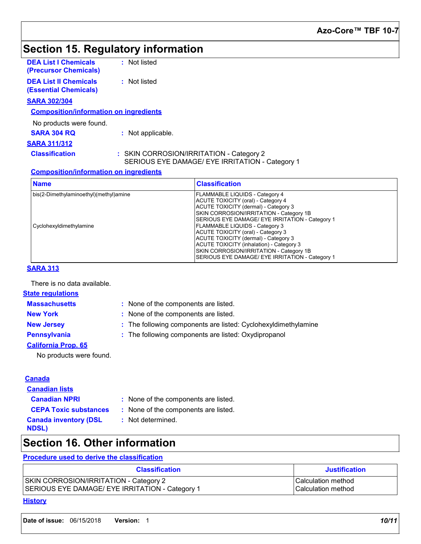# **Section 15. Regulatory information**

| <b>DEA List I Chemicals</b><br>(Precursor Chemicals)         | : Not listed                             |
|--------------------------------------------------------------|------------------------------------------|
| <b>DEA List II Chemicals</b><br><b>(Essential Chemicals)</b> | : Not listed                             |
| <b>SARA 302/304</b>                                          |                                          |
| <b>Composition/information on ingredients</b>                |                                          |
| No products were found.                                      |                                          |
| <b>SARA 304 RQ</b>                                           | : Not applicable.                        |
| <b>SARA 311/312</b>                                          |                                          |
| <b>Classification</b>                                        | : SKIN CORROSION/IRRITATION - Category 2 |

SERIOUS EYE DAMAGE/ EYE IRRITATION - Category 1

### **Composition/information on ingredients**

| <b>Name</b>                                                       | <b>Classification</b>                                                                                                                                                                                                                                      |
|-------------------------------------------------------------------|------------------------------------------------------------------------------------------------------------------------------------------------------------------------------------------------------------------------------------------------------------|
| bis(2-Dimethylaminoethyl)(methyl)amine<br>Cyclohexyldimethylamine | FLAMMABLE LIQUIDS - Category 4<br><b>ACUTE TOXICITY (oral) - Category 4</b><br>ACUTE TOXICITY (dermal) - Category 3<br>SKIN CORROSION/IRRITATION - Category 1B<br>SERIOUS EYE DAMAGE/ EYE IRRITATION - Category 1<br><b>FLAMMABLE LIQUIDS - Category 3</b> |
|                                                                   | ACUTE TOXICITY (oral) - Category 3<br>ACUTE TOXICITY (dermal) - Category 3<br>ACUTE TOXICITY (inhalation) - Category 3<br>SKIN CORROSION/IRRITATION - Category 1B<br>SERIOUS EYE DAMAGE/ EYE IRRITATION - Category 1                                       |

### **SARA 313**

There is no data available.

### **State regulations**

**Massachusetts :**

- : None of the components are listed.
- 
- **New York :** None of the components are listed.
- **New Jersey :** The following components are listed: Cyclohexyldimethylamine
- **Pennsylvania :** The following components are listed: Oxydipropanol
- **California Prop. 65**

No products were found.

#### **Canada**

#### **Canadian lists**

- **Canadian NPRI :** None of the components are listed.
- **CEPA Toxic substances :** None of the components are listed.
	- **:** Not determined.
- **Canada inventory (DSL NDSL)**

# **Section 16. Other information**

### **Procedure used to derive the classification**

| <b>Classification</b>                           | <b>Justification</b>      |
|-------------------------------------------------|---------------------------|
| SKIN CORROSION/IRRITATION - Category 2          | Calculation method        |
| SERIOUS EYE DAMAGE/ EYE IRRITATION - Category 1 | <b>Calculation method</b> |

#### **History**